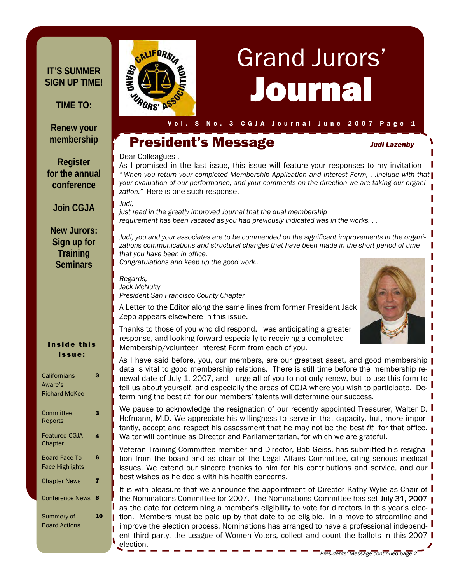#### **IT'S SUMMER SIGN UP TIME!**

**TIME TO:** 

#### **Renew your membership**

**Register for the annual conference** 

**Join CGJA** 

#### **New Jurors: Sign up for Training Seminars**

#### Inside this issue:

| Californians           | 2 |
|------------------------|---|
| Aware's                |   |
| <b>Richard McKee</b>   |   |
|                        |   |
| Committee              | 3 |
| Reports                |   |
| <b>Featured CGJA</b>   | 4 |
| Chapter                |   |
|                        |   |
| Board Face To          | 6 |
| Face Highlights        |   |
| <b>Chapter News</b>    | 7 |
|                        |   |
| <b>Conference News</b> | 8 |
|                        |   |
| Summery of             |   |
| <b>Board Actions</b>   |   |
|                        |   |



# Journal Grand Jurors'

## President's Message *Judi Lazenby*

#### Dear Colleagues ,

As I promised in the last issue, this issue will feature your responses to my invitation *" When you return your completed Membership Application and Interest Form, . .include with that your evaluation of our performance, and your comments on the direction we are taking our organization."* Here is one such response.

*Judi,* 

*just read in the greatly improved Journal that the dual membership requirement has been vacated as you had previously indicated was in the works. . .* 

*Judi, you and your associates are to be commended on the significant improvements in the organizations communications and structural changes that have been made in the short period of time that you have been in office.* 

*Congratulations and keep up the good work..* 

*Regards, Jack McNulty President San Francisco County Chapter* 

Zepp appears elsewhere in this issue.



Thanks to those of you who did respond. I was anticipating a greater response, and looking forward especially to receiving a completed Membership/volunteer Interest Form from each of you.

A Letter to the Editor along the same lines from former President Jack

As I have said before, you, our members, are our greatest asset, and good membership | data is vital to good membership relations. There is still time before the membership renewal date of July 1, 2007, and I urge all of you to not only renew, but to use this form to tell us about yourself, and especially the areas of CGJA where you wish to participate. Determining the best *fit* for our members' talents will determine our success.

We pause to acknowledge the resignation of our recently appointed Treasurer, Walter D. I Hofmann, M.D. We appreciate his willingness to serve in that capacity, but, more importantly, accept and respect his assessment that he may not be the best *fit* for that office. Walter will continue as Director and Parliamentarian, for which we are grateful.

Veteran Training Committee member and Director, Bob Geiss, has submitted his resignation from the board and as chair of the Legal Affairs Committee, citing serious medical issues. We extend our sincere thanks to him for his contributions and service, and our best wishes as he deals with his health concerns.

It is with pleasure that we announce the appointment of Director Kathy Wylie as Chair of  $\mathsf I$ the Nominations Committee for 2007. The Nominations Committee has set July 31, 2007 | as the date for determining a member's eligibility to vote for directors in this year's election. Members must be paid up by that date to be eligible. In a move to streamline and improve the election process, Nominations has arranged to have a professional independent third party, the League of Women Voters, collect and count the ballots in this 2007 election.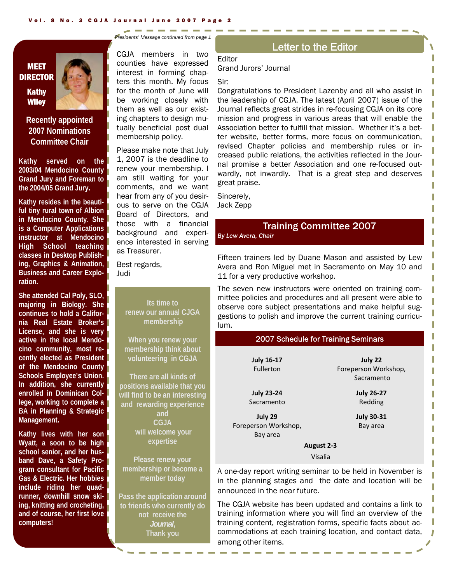**MEET DIRECTOR** Kathy **Wiley** 

**Recently appointed 2007 Nominations Committee Chair** 

**Kathy served on the 2003/04 Mendocino County Grand Jury and Foreman to the 2004/05 Grand Jury.** 

**Kathy resides in the beautiful tiny rural town of Albion in Mendocino County. She is a Computer Applications instructor at Mendocino High School teaching classes in Desktop Publishing, Graphics & Animation, Business and Career Exploration.** 

**She attended Cal Poly, SLO, majoring in Biology. She continues to hold a California Real Estate Broker's License, and she is very active in the local Mendocino community, most recently elected as President of the Mendocino County Schools Employee's Union. In addition, she currently enrolled in Dominican College, working to complete a BA in Planning & Strategic Management.** 

**Kathy lives with her son Wyatt, a soon to be high school senior, and her husband Dave, a Safety Program consultant for Pacific Gas & Electric. Her hobbies include riding her quadrunner, downhill snow skiing, knitting and crocheting, and of course, her first love computers!** 

*Presidents' Message continued from page 1* 

CGJA members in two counties have expressed interest in forming chapters this month. My focus for the month of June will be working closely with them as well as our existing chapters to design mutually beneficial post dual membership policy.

Please make note that July 1, 2007 is the deadline to renew your membership. I am still waiting for your comments, and we want hear from any of you desirous to serve on the CGJA Board of Directors, and those with a financial background and experience interested in serving as Treasurer.

Best regards, Judi

> **Its time to renew our annual CJGA membership**

**When you renew your membership think about volunteering in CGJA** 

**There are all kinds of positions available that you will find to be an interesting and rewarding experience and CGJA will welcome your expertise** 

**Please renew your membership or become a member today** 

**Pass the application around to friends who currently do not receive the**  *Journal***, Thank you** 

#### Letter to the Editor

**Editor** Grand Jurors' Journal

Sir:

Congratulations to President Lazenby and all who assist in the leadership of CGJA. The latest (April 2007) issue of the Journal reflects great strides in re-focusing CGJA on its core mission and progress in various areas that will enable the Association better to fulfill that mission. Whether it's a better website, better forms, more focus on communication, revised Chapter policies and membership rules or increased public relations, the activities reflected in the Journal promise a better Association and one re-focused outwardly, not inwardly. That is a great step and deserves great praise.

Sincerely, Jack Zepp

#### Training Committee 2007

*By Lew Avera, Chair* 

Fifteen trainers led by Duane Mason and assisted by Lew Avera and Ron Miguel met in Sacramento on May 10 and 11 for a very productive workshop.

The seven new instructors were oriented on training committee policies and procedures and all present were able to observe core subject presentations and make helpful suggestions to polish and improve the current training curriculum.

#### 2007 Schedule for Training Seminars

| July 22              |  |  |  |
|----------------------|--|--|--|
| Foreperson Workshop, |  |  |  |
| Sacramento           |  |  |  |
| <b>July 26-27</b>    |  |  |  |
| Redding              |  |  |  |
| <b>July 30-31</b>    |  |  |  |
| Bay area             |  |  |  |
|                      |  |  |  |
| August 2-3           |  |  |  |
| <b>Visalia</b>       |  |  |  |
|                      |  |  |  |

A one-day report writing seminar to be held in November is in the planning stages and the date and location will be announced in the near future.

The CGJA website has been updated and contains a link to training information where you will find an overview of the training content, registration forms, specific facts about accommodations at each training location, and contact data, among other items.

J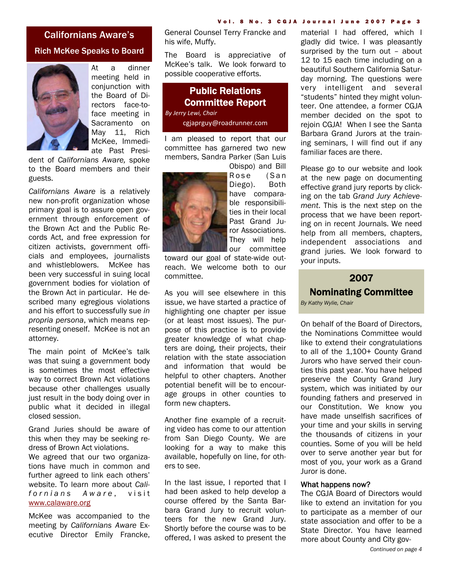#### Californians Aware's Rich McKee Speaks to Board



At a dinner meeting held in conjunction with the Board of Directors face-toface meeting in Sacramento on May 11, Rich McKee, Immediate Past Presi-

dent of *Californians Aware,* spoke to the Board members and their guests.

*Californians Aware* is a relatively new non-profit organization whose primary goal is to assure open government through enforcement of the Brown Act and the Public Records Act, and free expression for citizen activists, government officials and employees, journalists and whistleblowers. McKee has been very successful in suing local government bodies for violation of the Brown Act in particular. He described many egregious violations and his effort to successfully sue *in propria persona*, which means representing oneself. McKee is not an attorney.

The main point of McKee's talk was that suing a government body is sometimes the most effective way to correct Brown Act violations because other challenges usually just result in the body doing over in public what it decided in illegal closed session.

Grand Juries should be aware of this when they may be seeking redress of Brown Act violations. We agreed that our two organizations have much in common and further agreed to link each others' website. To learn more about *Californians Aware*, visit www.calaware.org

McKee was accompanied to the meeting by *Californians Aware* Executive Director Emily Francke, General Counsel Terry Francke and his wife, Muffy.

The Board is appreciative of McKee's talk. We look forward to possible cooperative efforts.

#### Public Relations Committee Report

*By Jerry Lewi, Chair* cgjaprguy@roadrunner.com

I am pleased to report that our committee has garnered two new members, Sandra Parker (San Luis



Obispo) and Bill Rose (San Diego). Both have comparable responsibilities in their local Past Grand Juror Associations. They will help our committee

toward our goal of state-wide outreach. We welcome both to our committee.

As you will see elsewhere in this issue, we have started a practice of highlighting one chapter per issue (or at least most issues). The purpose of this practice is to provide greater knowledge of what chapters are doing, their projects, their relation with the state association and information that would be helpful to other chapters. Another potential benefit will be to encourage groups in other counties to form new chapters.

Another fine example of a recruiting video has come to our attention from San Diego County. We are looking for a way to make this available, hopefully on line, for others to see.

In the last issue, I reported that I had been asked to help develop a course offered by the Santa Barbara Grand Jury to recruit volunteers for the new Grand Jury. Shortly before the course was to be offered, I was asked to present the

material I had offered, which I gladly did twice. I was pleasantly surprised by the turn out – about 12 to 15 each time including on a beautiful Southern California Saturday morning. The questions were very intelligent and several "students" hinted they might volunteer. One attendee, a former CGJA member decided on the spot to rejoin CGJA! When I see the Santa Barbara Grand Jurors at the training seminars, I will find out if any familiar faces are there.

Please go to our website and look at the new page on documenting effective grand jury reports by clicking on the tab *Grand Jury Achievement*. This is the next step on the process that we have been reporting on in recent Journals. We need help from all members, chapters, independent associations and grand juries. We look forward to your inputs.

#### 2007 Nominating Committee *By Kathy Wylie, Chair*

On behalf of the Board of Directors, the Nominations Committee would like to extend their congratulations to all of the 1,100+ County Grand Jurors who have served their counties this past year. You have helped preserve the County Grand Jury system, which was initiated by our founding fathers and preserved in our Constitution. We know you have made unselfish sacrifices of your time and your skills in serving the thousands of citizens in your counties. Some of you will be held over to serve another year but for most of you, your work as a Grand Juror is done.

#### What happens now?

The CGJA Board of Directors would like to extend an invitation for you to participate as a member of our state association and offer to be a State Director. You have learned more about County and City gov-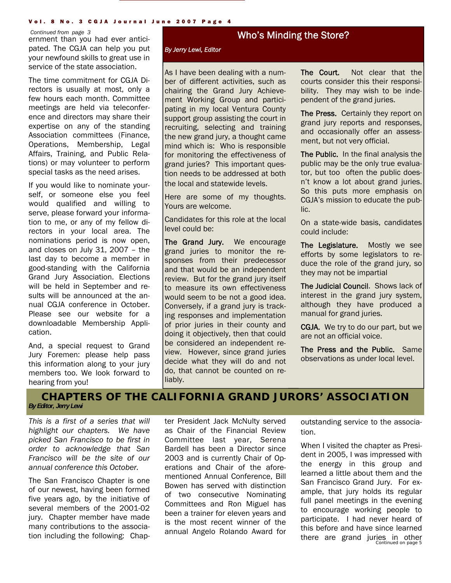#### Vol. 8 No. 3 CGJA Journal June 2007 Page 4

#### *Continued from page 3*

ernment than you had ever anticipated. The CGJA can help you put your newfound skills to great use in service of the state association.

The time commitment for CGJA Directors is usually at most, only a few hours each month. Committee meetings are held via teleconference and directors may share their expertise on any of the standing Association committees (Finance, Operations, Membership, Legal Affairs, Training, and Public Relations) or may volunteer to perform special tasks as the need arises.

If you would like to nominate yourself, or someone else you feel would qualified and willing to serve, please forward your information to me, or any of my fellow directors in your local area. The nominations period is now open, and closes on July 31, 2007 – the last day to become a member in good-standing with the California Grand Jury Association. Elections will be held in September and results will be announced at the annual CGJA conference in October. Please see our website for a downloadable Membership Application.

And, a special request to Grand Jury Foremen: please help pass this information along to your jury members too. We look forward to hearing from you!

#### Who's Minding the Store?

I

#### *By Jerry Lewi, Editor*

As I have been dealing with a number of different activities, such as chairing the Grand Jury Achievement Working Group and participating in my local Ventura County support group assisting the court in recruiting, selecting and training the new grand jury, a thought came mind which is: Who is responsible for monitoring the effectiveness of grand juries? This important question needs to be addressed at both the local and statewide levels.

Here are some of my thoughts. Yours are welcome.

Candidates for this role at the local level could be:

The Grand Jury. We encourage grand juries to monitor the responses from their predecessor and that would be an independent review. But for the grand jury itself to measure its own effectiveness would seem to be not a good idea. Conversely, if a grand jury is tracking responses and implementation of prior juries in their county and doing it objectively, then that could be considered an independent review. However, since grand juries decide what they will do and not do, that cannot be counted on reliably.

The Court. Not clear that the courts consider this their responsibility. They may wish to be independent of the grand juries.

The Press. Certainly they report on grand jury reports and responses, and occasionally offer an assessment, but not very official.

The Public. In the final analysis the public may be the only true evaluator, but too often the public doesn't know a lot about grand juries. So this puts more emphasis on CGJA's mission to educate the public.

On a state-wide basis, candidates could include:

The Legislature. Mostly we see efforts by some legislators to reduce the role of the grand jury, so they may not be impartial

The Judicial Council. Shows lack of interest in the grand jury system, although they have produced a manual for grand juries.

CGJA. We try to do our part, but we are not an official voice.

The Press and the Public. Same observations as under local level.

#### **CHAPTERS OF THE CALIFORNIA GRAND JURORS' ASSOCIATION**

*By Editor, Jerry Lewi* 

*This is a first of a series that will highlight our chapters. We have picked San Francisco to be first in order to acknowledge that San Francisco will be the site of our annual conference this October.* 

The San Francisco Chapter is one of our newest, having been formed five years ago, by the initiative of several members of the 2001-02 jury. Chapter member have made many contributions to the association including the following: Chapter President Jack McNulty served as Chair of the Financial Review Committee last year, Serena Bardell has been a Director since 2003 and is currently Chair of Operations and Chair of the aforementioned Annual Conference, Bill Bowen has served with distinction of two consecutive Nominating Committees and Ron Miguel has been a trainer for eleven years and is the most recent winner of the annual Angelo Rolando Award for outstanding service to the association.

*Continued on page 5* When I visited the chapter as President in 2005, I was impressed with the energy in this group and learned a little about them and the San Francisco Grand Jury. For example, that jury holds its regular full panel meetings in the evening to encourage working people to participate. I had never heard of this before and have since learned there are grand juries in other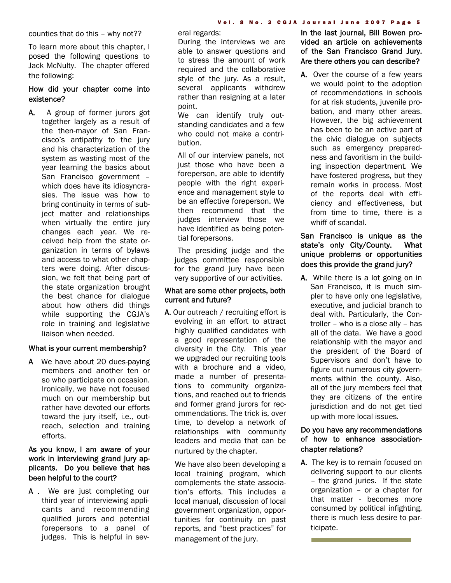counties that do this – why not??

To learn more about this chapter, I posed the following questions to Jack McNulty. The chapter offered the following:

#### How did your chapter come into existence?

A. A group of former jurors got together largely as a result of the then-mayor of San Francisco's antipathy to the jury and his characterization of the system as wasting most of the year learning the basics about San Francisco government – which does have its idiosyncrasies. The issue was how to bring continuity in terms of subject matter and relationships when virtually the entire jury changes each year. We received help from the state organization in terms of bylaws and access to what other chapters were doing. After discussion, we felt that being part of the state organization brought the best chance for dialogue about how others did things while supporting the CGJA's role in training and legislative liaison when needed.

#### What is your current membership?

A We have about 20 dues-paying members and another ten or so who participate on occasion. Ironically, we have not focused much on our membership but rather have devoted our efforts toward the jury itself, i.e., outreach, selection and training efforts.

#### As you know, I am aware of your work in interviewing grand jury applicants. Do you believe that has been helpful to the court?

A . We are just completing our third year of interviewing applicants and recommending qualified jurors and potential forepersons to a panel of judges. This is helpful in several regards:

During the interviews we are able to answer questions and to stress the amount of work required and the collaborative style of the jury. As a result, several applicants withdrew rather than resigning at a later point.

We can identify truly outstanding candidates and a few who could not make a contribution.

All of our interview panels, not just those who have been a foreperson, are able to identify people with the right experience and management style to be an effective foreperson. We then recommend that the judges interview those we have identified as being potential forepersons.

The presiding judge and the judges committee responsible for the grand jury have been very supportive of our activities.

#### What are some other projects, both current and future?

A. Our outreach / recruiting effort is evolving in an effort to attract highly qualified candidates with a good representation of the diversity in the City. This year we upgraded our recruiting tools with a brochure and a video, made a number of presentations to community organizations, and reached out to friends and former grand jurors for recommendations. The trick is, over time, to develop a network of relationships with community leaders and media that can be nurtured by the chapter.

We have also been developing a local training program, which complements the state association's efforts. This includes a local manual, discussion of local government organization, opportunities for continuity on past reports, and "best practices" for management of the jury.

In the last journal, Bill Bowen provided an article on achievements of the San Francisco Grand Jury. Are there others you can describe?

A. Over the course of a few years we would point to the adoption of recommendations in schools for at risk students, juvenile probation, and many other areas. However, the big achievement has been to be an active part of the civic dialogue on subjects such as emergency preparedness and favoritism in the building inspection department. We have fostered progress, but they remain works in process. Most of the reports deal with efficiency and effectiveness, but from time to time, there is a whiff of scandal.

#### San Francisco is unique as the state's only City/County. What unique problems or opportunities does this provide the grand jury?

A. While there is a lot going on in San Francisco, it is much simpler to have only one legislative, executive, and judicial branch to deal with. Particularly, the Controller – who is a close ally – has all of the data. We have a good relationship with the mayor and the president of the Board of Supervisors and don't have to figure out numerous city governments within the county. Also, all of the jury members feel that they are citizens of the entire jurisdiction and do not get tied up with more local issues.

#### Do you have any recommendations of how to enhance associationchapter relations?

A. The key is to remain focused on delivering support to our clients – the grand juries. If the state organization – or a chapter for that matter - becomes more consumed by political infighting, there is much less desire to participate.

a shekarar 1980 a shekarar 1980 a tsara tsara tsara 1980.<br>Matuki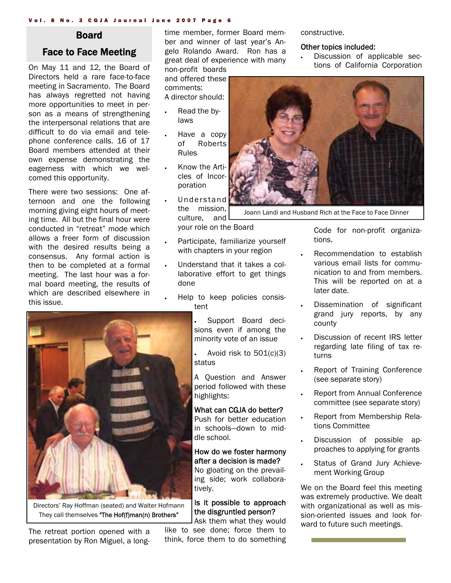#### Vol. 8 No. 3 CGJA Journal June 2007 Page 6

#### Board

#### Face to Face Meeting

On May 11 and 12, the Board of Directors held a rare face-to-face meeting in Sacramento. The Board has always regretted not having more opportunities to meet in person as a means of strengthening the interpersonal relations that are difficult to do via email and telephone conference calls. 16 of 17 Board members attended at their own expense demonstrating the eagerness with which we welcomed this opportunity.

There were two sessions: One afternoon and one the following morning giving eight hours of meeting time. All but the final hour were conducted in "retreat" mode which allows a freer form of discussion with the desired results being a consensus. Any formal action is then to be completed at a formal meeting. The last hour was a formal board meeting, the results of which are described elsewhere in this issue.

Directors' Ray Hoffman (seated) and Walter Hofmann They call themselves "The Hof(f)man(n) Brothers"

The retreat portion opened with a presentation by Ron Miguel, a longtime member, former Board member and winner of last year's Angelo Rolando Award. Ron has a great deal of experience with many non-profit boards

and offered these comments: A director should:

- Read the bylaws
- Have a copy of Roberts Rules
- Know the Articles of Incorporation
- Understand the mission, culture, and your role on the Board
- Participate, familiarize yourself with chapters in your region
- Understand that it takes a collaborative effort to get things done
- Help to keep policies consistent

• Support Board decisions even if among the minority vote of an issue

Avoid risk to  $501(c)(3)$ status

A Question and Answer period followed with these highlights:

#### What can CGJA do better?

Push for better education in schools—down to middle school.

How do we foster harmony after a decision is made? No gloating on the prevailing side; work collaboratively.

#### Is it possible to approach the disgruntled person?

Ask them what they would like to see done; force them to think, force them to do something constructive.

#### Other topics included:

• Discussion of applicable sections of California Corporation



Joann Landi and Husband Rich at the Face to Face Dinner

Code for non-profit organizations.

- Recommendation to establish various email lists for communication to and from members. This will be reported on at a later date.
- Dissemination of significant grand jury reports, by any county
- Discussion of recent IRS letter regarding late filing of tax returns
- Report of Training Conference (see separate story)
- Report from Annual Conference committee (see separate story)
- Report from Membership Relations Committee
- Discussion of possible approaches to applying for grants
- Status of Grand Jury Achievement Working Group

We on the Board feel this meeting was extremely productive. We dealt with organizational as well as mission-oriented issues and look forward to future such meetings.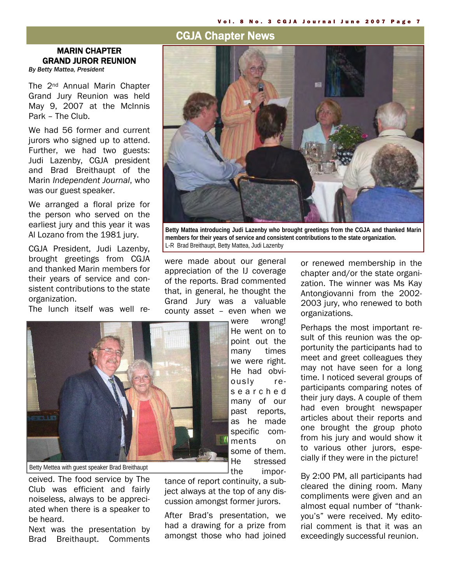#### CGJA Chapter News

#### MARIN CHAPTER GRAND JUROR REUNION

*By Betty Mattea, President* 

The 2nd Annual Marin Chapter Grand Jury Reunion was held May 9, 2007 at the McInnis Park – The Club.

We had 56 former and current jurors who signed up to attend. Further, we had two guests: Judi Lazenby, CGJA president and Brad Breithaupt of the Marin *Independent Journal*, who was our guest speaker.

We arranged a floral prize for the person who served on the earliest jury and this year it was Al Lozano from the 1981 jury.

CGJA President, Judi Lazenby, brought greetings from CGJA and thanked Marin members for their years of service and consistent contributions to the state organization.

The lunch itself was well re-



**Betty Mattea introducing Judi Lazenby who brought greetings from the CGJA and thanked Marin members for their years of service and consistent contributions to the state organization.** L-R Brad Breithaupt, Betty Mattea, Judi Lazenby

were made about our general appreciation of the IJ coverage of the reports. Brad commented that, in general, he thought the Grand Jury was a valuable county asset – even when we



Betty Mettea with guest speaker Brad Breithaupt

ceived. The food service by The Club was efficient and fairly noiseless, always to be appreciated when there is a speaker to be heard.

Next was the presentation by Brad Breithaupt. Comments

were wrong! He went on to point out the many times we were right. He had obviously res e a r c h e d many of our past reports, as he made specific comments on some of them. He stressed the impor-

tance of report continuity, a subject always at the top of any discussion amongst former jurors.

After Brad's presentation, we had a drawing for a prize from amongst those who had joined or renewed membership in the chapter and/or the state organization. The winner was Ms Kay Antongiovanni from the 2002- 2003 jury, who renewed to both organizations.

Perhaps the most important result of this reunion was the opportunity the participants had to meet and greet colleagues they may not have seen for a long time. I noticed several groups of participants comparing notes of their jury days. A couple of them had even brought newspaper articles about their reports and one brought the group photo from his jury and would show it to various other jurors, especially if they were in the picture!

By 2:00 PM, all participants had cleared the dining room. Many compliments were given and an almost equal number of "thankyou's" were received. My editorial comment is that it was an exceedingly successful reunion.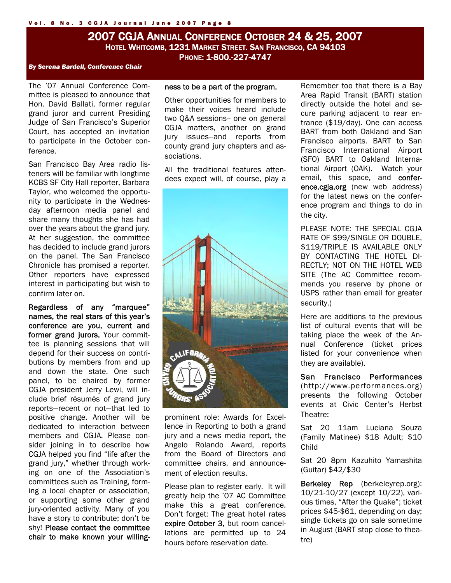#### 2007 CGJA ANNUAL CONFERENCE OCTOBER 24 & 25, 2007 HOTEL WHITCOMB, 1231 MARKET STREET. SAN FRANCISCO, CA 94103 PHONE: 1-800.-227-4747

#### *By Serena Bardell, Conference Chair*

The '07 Annual Conference Committee is pleased to announce that Hon. David Ballati, former regular grand juror and current Presiding Judge of San Francisco's Superior Court, has accepted an invitation to participate in the October conference.

San Francisco Bay Area radio listeners will be familiar with longtime KCBS SF City Hall reporter, Barbara Taylor, who welcomed the opportunity to participate in the Wednesday afternoon media panel and share many thoughts she has had over the years about the grand jury. At her suggestion, the committee has decided to include grand jurors on the panel. The San Francisco Chronicle has promised a reporter. Other reporters have expressed interest in participating but wish to confirm later on.

Regardless of any "marquee" names, the real stars of this year's conference are you, current and former grand jurors. Your committee is planning sessions that will depend for their success on contributions by members from and up and down the state. One such panel, to be chaired by former CGJA president Jerry Lewi, will include brief résumés of grand jury reports—recent or not—that led to positive change. Another will be dedicated to interaction between members and CGJA. Please consider joining in to describe how CGJA helped you find "life after the grand jury," whether through working on one of the Association's committees such as Training, forming a local chapter or association, or supporting some other grand jury-oriented activity. Many of you have a story to contribute; don't be shy! Please contact the committee chair to make known your willing-

#### ness to be a part of the program.

Other opportunities for members to make their voices heard include two O&A sessions-- one on general CGJA matters, another on grand jury issues--and reports from county grand jury chapters and associations.

All the traditional features attendees expect will, of course, play a



prominent role: Awards for Excellence in Reporting to both a grand jury and a news media report, the Angelo Rolando Award, reports from the Board of Directors and committee chairs, and announcement of election results.

Please plan to register early. It will greatly help the '07 AC Committee make this a great conference. Don't forget: The great hotel rates expire October 3, but room cancellations are permitted up to 24 hours before reservation date.

Remember too that there is a Bay Area Rapid Transit (BART) station directly outside the hotel and secure parking adjacent to rear entrance (\$19/day). One can access BART from both Oakland and San Francisco airports. BART to San Francisco International Airport (SFO) BART to Oakland International Airport (OAK). Watch your email, this space, and conference.cgja.org (new web address) for the latest news on the conference program and things to do in the city.

PLEASE NOTE: THE SPECIAL CGJA RATE OF \$99/SINGLE OR DOUBLE, \$119/TRIPLE IS AVAILABLE ONLY BY CONTACTING THE HOTEL DI-RECTLY; NOT ON THE HOTEL WEB SITE (The AC Committee recommends you reserve by phone or USPS rather than email for greater security.)

Here are additions to the previous list of cultural events that will be taking place the week of the Annual Conference (ticket prices listed for your convenience when they are available).

San Francisco Performances (http://www.performances.org) presents the following October events at Civic Center's Herbst Theatre:

Sat 20 11am Luciana Souza (Family Matinee) \$18 Adult; \$10 Child

Sat 20 8pm Kazuhito Yamashita (Guitar) \$42/\$30

Berkeley Rep (berkeleyrep.org): 10/21-10/27 (except 10/22), various times, "After the Quake"; ticket prices \$45-\$61, depending on day; single tickets go on sale sometime in August (BART stop close to theatre)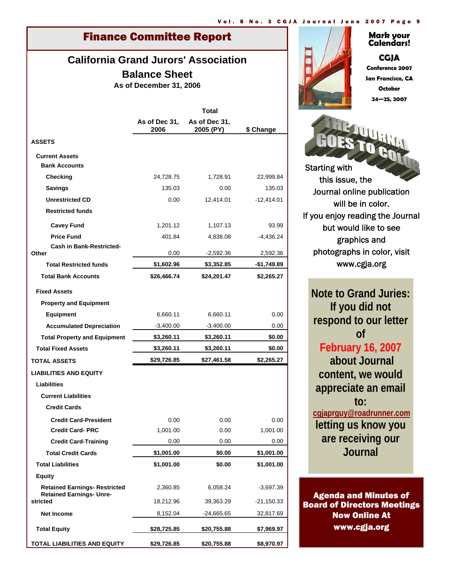### Finance Committee Report

#### **California Grand Jurors' Association Balance Sheet**

**As of December 31, 2006**

|                                                                         | <b>Total</b>          |                            |              |  |
|-------------------------------------------------------------------------|-----------------------|----------------------------|--------------|--|
|                                                                         | As of Dec 31,<br>2006 | As of Dec 31.<br>2005 (PY) | \$ Change    |  |
| <b>ASSETS</b>                                                           |                       |                            |              |  |
| <b>Current Assets</b>                                                   |                       |                            |              |  |
| <b>Bank Accounts</b>                                                    |                       |                            |              |  |
| Checking                                                                | 24,728.75             | 1,728.91                   | 22,999.84    |  |
| <b>Savings</b>                                                          | 135.03                | 0.00                       | 135.03       |  |
| <b>Unrestricted CD</b>                                                  | 0.00                  | 12,414.01                  | $-12,414.01$ |  |
| <b>Restricted funds</b>                                                 |                       |                            |              |  |
| <b>Cavey Fund</b>                                                       | 1,201.12              | 1,107.13                   | 93.99        |  |
| <b>Price Fund</b>                                                       | 401.84                | 4,838.08                   | -4,436.24    |  |
| <b>Cash in Bank-Restricted-</b><br>Other                                | 0.00                  | $-2,592.36$                | 2,592.36     |  |
| <b>Total Restricted funds</b>                                           | \$1,602.96            | \$3,352.85                 | -\$1,749.89  |  |
| <b>Total Bank Accounts</b>                                              | \$26,466.74           | \$24,201.47                | \$2,265.27   |  |
|                                                                         |                       |                            |              |  |
| <b>Fixed Assets</b>                                                     |                       |                            |              |  |
| <b>Property and Equipment</b>                                           |                       |                            |              |  |
| <b>Equipment</b>                                                        | 6,660.11              | 6,660.11                   | 0.00         |  |
| <b>Accumulated Depreciation</b>                                         | $-3,400.00$           | $-3,400.00$                | 0.00         |  |
| <b>Total Property and Equipment</b>                                     | \$3,260.11            | \$3,260.11                 | \$0.00       |  |
| <b>Total Fixed Assets</b>                                               | \$3,260.11            | \$3,260.11                 | \$0.00       |  |
| <b>TOTAL ASSETS</b>                                                     | \$29,726.85           | \$27,461.58                | \$2,265.27   |  |
| <b>LIABILITIES AND EQUITY</b>                                           |                       |                            |              |  |
| Liabilities                                                             |                       |                            |              |  |
| <b>Current Liabilities</b>                                              |                       |                            |              |  |
| <b>Credit Cards</b>                                                     |                       |                            |              |  |
| <b>Credit Card-President</b>                                            | 0.00                  | 0.00                       | 0.00         |  |
| <b>Credit Card-PRC</b>                                                  | 1,001.00              | 0.00                       | 1,001.00     |  |
| <b>Credit Card-Training</b>                                             | 0.00                  | 0.00                       | 0.00         |  |
| <b>Total Credit Cards</b>                                               | \$1,001.00            | \$0.00                     | \$1,001.00   |  |
| <b>Total Liabilities</b>                                                | \$1,001.00            | \$0.00                     | \$1,001.00   |  |
| <b>Equity</b>                                                           |                       |                            |              |  |
| <b>Retained Earnings- Restricted</b><br><b>Retained Earnings- Unre-</b> | 2,360.85              | 6,058.24                   | $-3,697.39$  |  |
| stricted                                                                | 18,212.96             | 39,363.29                  | -21,150.33   |  |
| <b>Net Income</b>                                                       | 8,152.04              | -24,665.65                 | 32,817.69    |  |
| <b>Total Equity</b>                                                     | \$28,725.85           | \$20,755.88                | \$7,969.97   |  |
| <b>TOTAL LIABILITIES AND EQUITY</b>                                     | \$29,726.85           | \$20,755.88                | \$8,970.97   |  |



#### **Mark your Calendars!**

**CGJA Conference 2007 San Francisco, CA October 24—25, 2007** 



www.cgja.org

**Note to Grand Juries: If you did not respond to our letter of February 16, 2007 about Journal content, we would appreciate an email to: cgjaprguy@roadrunner.com letting us know you are receiving our Journal** 

Agenda and Minutes of Board of Directors Meetings Now Online At www.cgja.org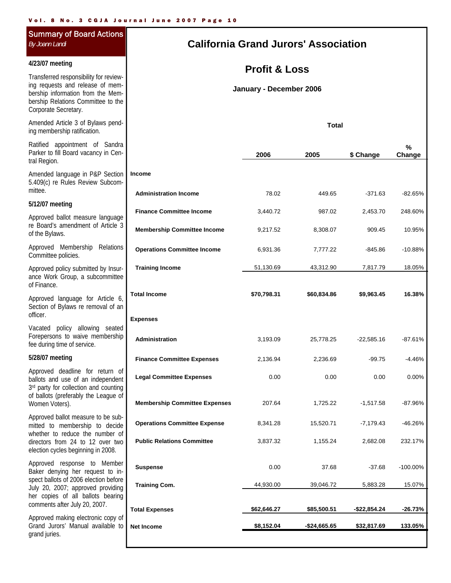### Summary of Board Actions

#### **4/23/07 meeting**

Transferred responsibility for reviewing requests and release of membership information from the Membership Relations Committee to the Corporate Secretary.

Amended Article 3 of Bylaws pending membership ratification.

Ratified appointment of Sandra Parker to fill Board vacancy in Central Region.

Amended language in P&P Section 5.409(c) re Rules Review Subcommittee.

#### **5/12/07 meeting**

Approved ballot measure language re Board's amendment of Article 3 of the Bylaws.

Approved Membership Relations Committee policies.

Approved policy submitted by Insurance Work Group, a subcommittee of Finance.

Approved language for Article 6, Section of Bylaws re removal of an officer.

Vacated policy allowing seated Forepersons to waive membership fee during time of service.

#### **5/28/07 meeting**

Approved deadline for return of ballots and use of an independent 3<sup>rd</sup> party for collection and counting of ballots (preferably the League of Women Voters).

Approved ballot measure to be submitted to membership to decide whether to reduce the number of directors from 24 to 12 over two election cycles beginning in 2008.

Approved response to Member Baker denying her request to inspect ballots of 2006 election before July 20, 2007; approved providing her copies of all ballots bearing comments after July 20, 2007.

Approved making electronic copy of Grand Jurors' Manual available to grand juries.

#### *By Joann Landi* **California Grand Jurors' Association**

#### **Profit & Loss**

**January - December 2006**

**Total**

|                                      | 2006        | 2005          | \$ Change     | %<br>Change |
|--------------------------------------|-------------|---------------|---------------|-------------|
| <b>Income</b>                        |             |               |               |             |
| <b>Administration Income</b>         | 78.02       | 449.65        | $-371.63$     | $-82.65%$   |
| <b>Finance Committee Income</b>      | 3,440.72    | 987.02        | 2,453.70      | 248.60%     |
| <b>Membership Committee Income</b>   | 9,217.52    | 8,308.07      | 909.45        | 10.95%      |
| <b>Operations Committee Income</b>   | 6,931.36    | 7,777.22      | -845.86       | $-10.88%$   |
| <b>Training Income</b>               | 51,130.69   | 43,312.90     | 7,817.79      | 18.05%      |
| <b>Total Income</b>                  | \$70,798.31 | \$60,834.86   | \$9,963.45    | 16.38%      |
| <b>Expenses</b>                      |             |               |               |             |
| Administration                       | 3,193.09    | 25,778.25     | $-22,585.16$  | $-87.61%$   |
| <b>Finance Committee Expenses</b>    | 2,136.94    | 2,236.69      | $-99.75$      | $-4.46%$    |
| <b>Legal Committee Expenses</b>      | 0.00        | 0.00          | 0.00          | 0.00%       |
| <b>Membership Committee Expenses</b> | 207.64      | 1,725.22      | $-1,517.58$   | $-87.96%$   |
| <b>Operations Committee Expense</b>  | 8,341.28    | 15,520.71     | $-7,179.43$   | -46.26%     |
| <b>Public Relations Committee</b>    | 3,837.32    | 1,155.24      | 2,682.08      | 232.17%     |
| <b>Suspense</b>                      | 0.00        | 37.68         | $-37.68$      | $-100.00\%$ |
| <b>Training Com.</b>                 | 44,930.00   | 39,046.72     | 5,883.28      | 15.07%      |
| <b>Total Expenses</b>                | \$62,646.27 | \$85,500.51   | $-$22,854.24$ | -26.73%     |
| <b>Net Income</b>                    | \$8,152.04  | $-$24,665.65$ | \$32,817.69   | 133.05%     |
|                                      |             |               |               |             |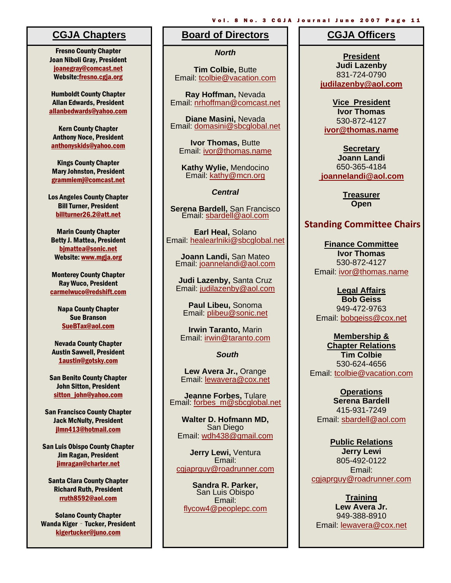Fresno County Chapter Joan Niboli Gray, President joanegray@comcast.net Website:fresno.cgja.org

Humboldt County Chapter Allan Edwards, President allanbedwards@yahoo.com

Kern County Chapter Anthony Noce, President anthonyskids@yahoo.com

Kings County Chapter Mary Johnston, President grammiemj@comcast.net

Los Angeles County Chapter Bill Turner, President billturner26.2@att.net

Marin County Chapter Betty J. Mattea, President bjmattea@sonic.net Website: www.mgja.org

Monterey County Chapter Ray Wuco, President carmelwuco@redshift.com

Napa County Chapter Sue Branson SueBTax@aol.com

Nevada County Chapter Austin Sawvell, President 1austin@gotsky.com

San Benito County Chapter John Sitton, President sitton\_iohn@yahoo.com

San Francisco County Chapter Jack McNulty, President jlmn413@hotmail.com

San Luis Obispo County Chapter Jim Ragan, President jimragan@charter.net

Santa Clara County Chapter Richard Ruth, President rruth8592@aol.com

Solano County Chapter Wanda Kiger - Tucker, President kigertucker@juno.com

#### **Board of Directors CGJA Chapters CGJA Officers**

*North*

**Tim Colbie,** Butte Email: tcolbie@vacation.com

**Ray Hoffman,** Nevada Email: nrhoffman@comcast.net

**Diane Masini,** Nevada Email: domasini@sbcglobal.net

**Ivor Thomas,** Butte Email: ivor@thomas.name

**Kathy Wylie,** Mendocino Email: kathy@mcn.org

*Central* 

**Serena Bardell,** San Francisco Email: sbardell@aol.com

**Earl Heal,** Solano Email: healearlniki@sbcglobal.net

**Joann Landi,** San Mateo Email: joannelandi@aol.com

**Judi Lazenby,** Santa Cruz Email: judilazenby@aol.com

**Paul Libeu,** Sonoma Email: plibeu@sonic.net

**Irwin Taranto,** Marin Email: irwin@taranto.com

*South* 

**Lew Avera Jr.,** Orange Email: lewavera@cox.net

**Jeanne Forbes,** Tulare Email: forbes\_m@sbcglobal.net

**Walter D. Hofmann MD,**  San Diego Email: wdh438@gmail.com

**Jerry Lewi,** Ventura Email: cgjaprguy@roadrunner.com

**Sandra R. Parker,**  San Luis Obispo Email: flycow4@peoplepc.com

Vol. 8 No. 3 CGJA Journal June 2007 Page 11

**President Judi Lazenby**  831-724-0790 **judilazenby@aol.com**

**Vice President Ivor Thomas**  530-872-4127 **ivor@thomas.name**

**Secretary Joann Landi** 650-365-4184  **joannelandi@aol.com** 

> **Treasurer Open**

#### **Standing Committee Chairs**

**Finance Committee Ivor Thomas**  530-872-4127 Email: ivor@thomas.name

**Legal Affairs Bob Geiss**  949-472-9763 Email: bobgeiss@cox.net

**Membership & Chapter Relations Tim Colbie**  530-624-4656 Email: tcolbie@vacation.com

**Operations Serena Bardell**  415-931-7249 Email: sbardell@aol.com

**Public Relations Jerry Lewi**  805-492-0122 Email: cgjaprguy@roadrunner.com

**Training Lew Avera Jr.**  949-388-8910 Email: lewavera@cox.net